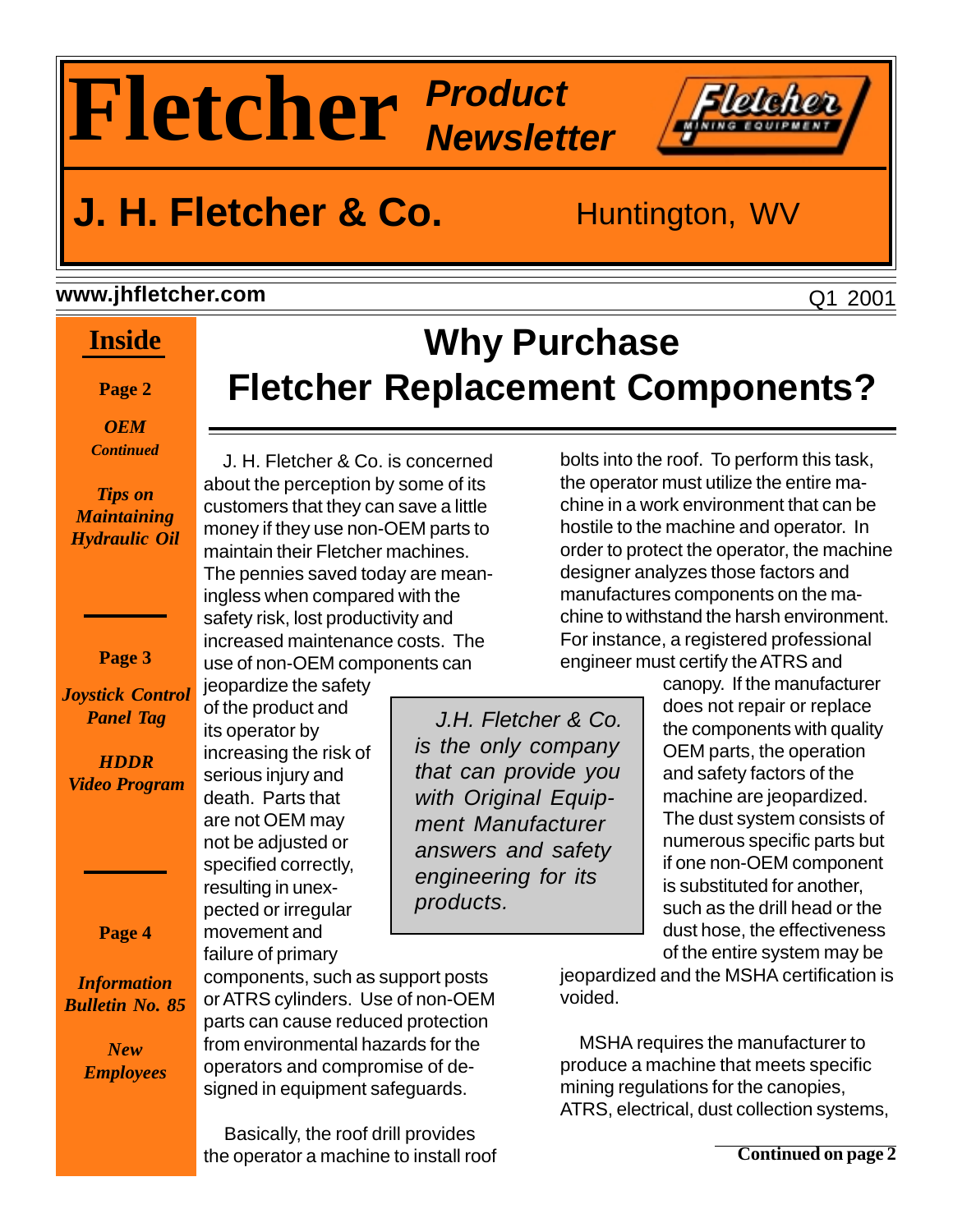# **Fletcher Product Newsletter**

### **J. H. Fletcher & Co.** Huntington, WV

#### **www.jhfletcher.com**

### **Inside**

**Page 2**

*OEM Continued*

*Tips on Maintaining Hydraulic Oil*

#### **Page 3**

*Joystick Control Panel Tag*

*HDDR Video Program*

**Page 4**

*Information Bulletin No. 85*

> *New Employees*

 J. H. Fletcher & Co. is concerned about the perception by some of its customers that they can save a little money if they use non-OEM parts to maintain their Fletcher machines. The pennies saved today are meaningless when compared with the safety risk, lost productivity and increased maintenance costs. The use of non-OEM components can jeopardize the safety

of the product and its operator by

increasing the risk of serious injury and death. Parts that are not OEM may not be adjusted or specified correctly, resulting in unexpected or irregular movement and failure of primary

 J.H. Fletcher & Co. is the only company that can provide you with Original Equipment Manufacturer answers and safety engineering for its products.

**Why Purchase**

**Fletcher Replacement Components?**

bolts into the roof. To perform this task, the operator must utilize the entire machine in a work environment that can be hostile to the machine and operator. In order to protect the operator, the machine designer analyzes those factors and manufactures components on the machine to withstand the harsh environment. For instance, a registered professional engineer must certify the ATRS and

canopy. If the manufacturer does not repair or replace the components with quality OEM parts, the operation and safety factors of the machine are jeopardized. The dust system consists of numerous specific parts but if one non-OEM component is substituted for another, such as the drill head or the dust hose, the effectiveness of the entire system may be

jeopardized and the MSHA certification is voided.

 MSHA requires the manufacturer to produce a machine that meets specific mining regulations for the canopies, ATRS, electrical, dust collection systems,

components, such as support posts or ATRS cylinders. Use of non-OEM parts can cause reduced protection from environmental hazards for the operators and compromise of designed in equipment safeguards.

 Basically, the roof drill provides the operator a machine to install roof Q1 2001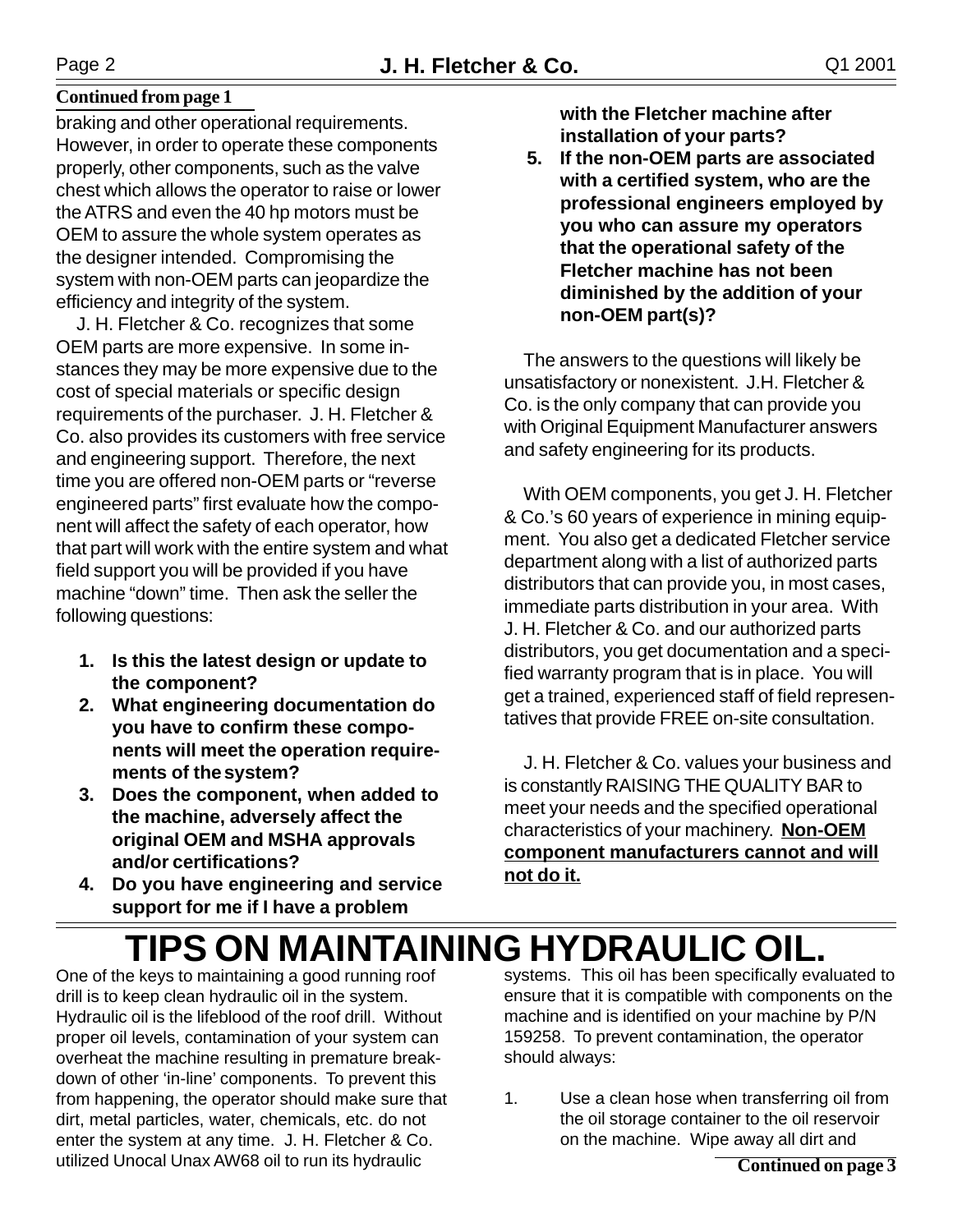#### **Continued from page 1**

braking and other operational requirements. However, in order to operate these components properly, other components, such as the valve chest which allows the operator to raise or lower the ATRS and even the 40 hp motors must be OEM to assure the whole system operates as the designer intended. Compromising the system with non-OEM parts can jeopardize the efficiency and integrity of the system.

 J. H. Fletcher & Co. recognizes that some OEM parts are more expensive. In some instances they may be more expensive due to the cost of special materials or specific design requirements of the purchaser. J. H. Fletcher & Co. also provides its customers with free service and engineering support. Therefore, the next time you are offered non-OEM parts or "reverse engineered parts" first evaluate how the component will affect the safety of each operator, how that part will work with the entire system and what field support you will be provided if you have machine "down" time. Then ask the seller the following questions:

- **1. Is this the latest design or update to the component?**
- **2. What engineering documentation do you have to confirm these components will meet the operation requirements of thesystem?**
- **3. Does the component, when added to the machine, adversely affect the original OEM and MSHA approvals and/or certifications?**
- **4. Do you have engineering and service support for me if I have a problem**

**with the Fletcher machine after installation of your parts?**

 **5. If the non-OEM parts are associated with a certified system, who are the professional engineers employed by you who can assure my operators that the operational safety of the Fletcher machine has not been diminished by the addition of your non-OEM part(s)?**

 The answers to the questions will likely be unsatisfactory or nonexistent. J.H. Fletcher & Co. is the only company that can provide you with Original Equipment Manufacturer answers and safety engineering for its products.

 With OEM components, you get J. H. Fletcher & Co.'s 60 years of experience in mining equipment. You also get a dedicated Fletcher service department along with a list of authorized parts distributors that can provide you, in most cases, immediate parts distribution in your area. With J. H. Fletcher & Co. and our authorized parts distributors, you get documentation and a specified warranty program that is in place. You will get a trained, experienced staff of field representatives that provide FREE on-site consultation.

 J. H. Fletcher & Co. values your business and is constantly RAISING THE QUALITY BAR to meet your needs and the specified operational characteristics of your machinery. **Non-OEM component manufacturers cannot and will not do it.**

## **TIPS ON MAINTAINING HYDRAULIC OIL.**

One of the keys to maintaining a good running roof drill is to keep clean hydraulic oil in the system. Hydraulic oil is the lifeblood of the roof drill. Without proper oil levels, contamination of your system can overheat the machine resulting in premature breakdown of other 'in-line' components. To prevent this from happening, the operator should make sure that dirt, metal particles, water, chemicals, etc. do not enter the system at any time. J. H. Fletcher & Co. utilized Unocal Unax AW68 oil to run its hydraulic

systems. This oil has been specifically evaluated to ensure that it is compatible with components on the machine and is identified on your machine by P/N 159258. To prevent contamination, the operator should always:

1. Use a clean hose when transferring oil from the oil storage container to the oil reservoir on the machine. Wipe away all dirt and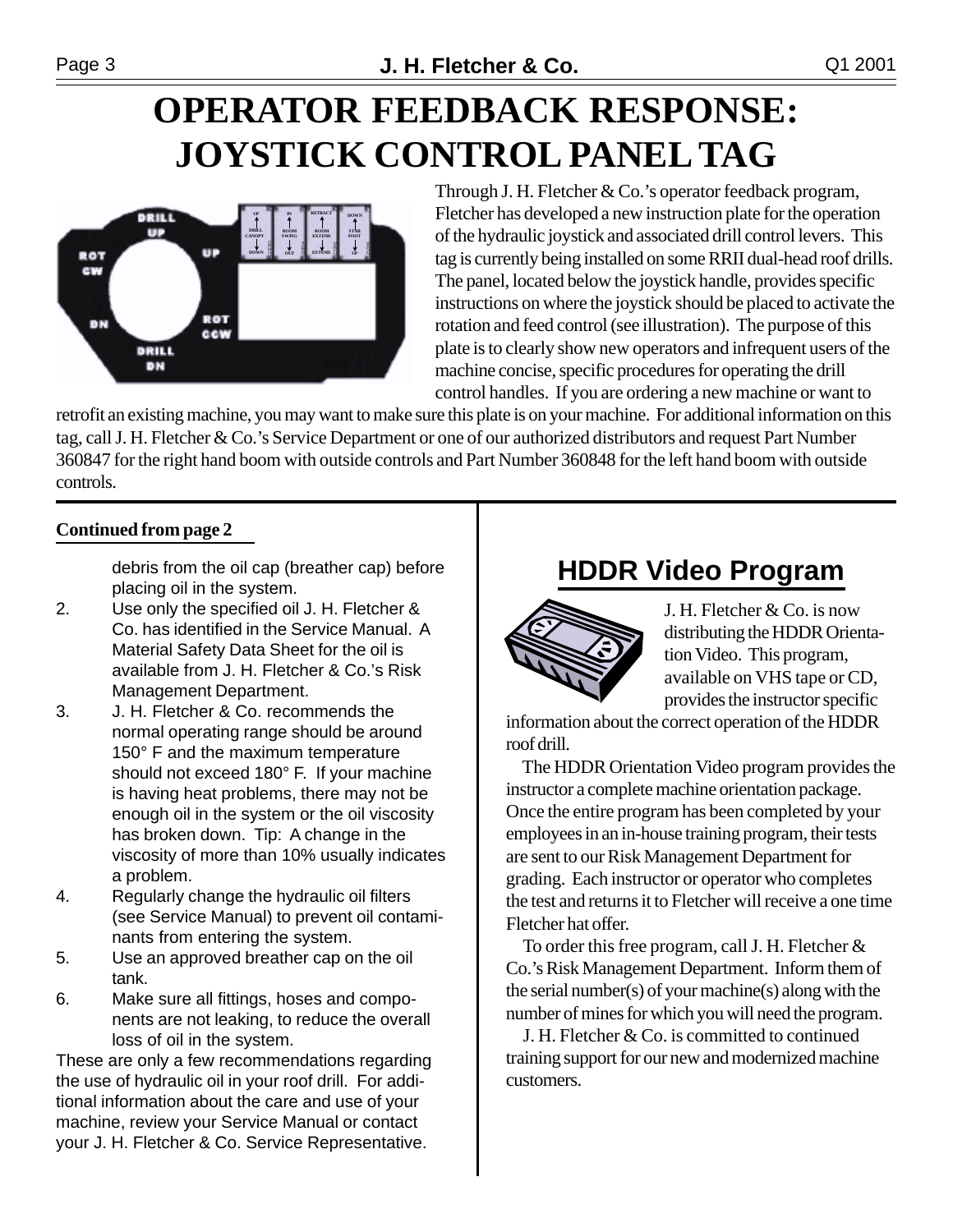## **OPERATOR FEEDBACK RESPONSE: JOYSTICK CONTROL PANEL TAG**



Through J. H. Fletcher & Co.'s operator feedback program, Fletcher has developed a new instruction plate for the operation of the hydraulic joystick and associated drill control levers. This tag is currently being installed on some RRII dual-head roof drills. The panel, located below the joystick handle, provides specific instructions on where the joystick should be placed to activate the rotation and feed control (see illustration). The purpose of this plate is to clearly show new operators and infrequent users of the machine concise, specific procedures for operating the drill control handles. If you are ordering a new machine or want to

retrofit an existing machine, you may want to make sure this plate is on your machine. For additional information on this tag, call J. H. Fletcher & Co.'s Service Department or one of our authorized distributors and request Part Number 360847 for the right hand boom with outside controls and Part Number 360848 for the left hand boom with outside controls.

#### **Continued from page 2**

debris from the oil cap (breather cap) before placing oil in the system.

- 2. Use only the specified oil J. H. Fletcher & Co. has identified in the Service Manual. A Material Safety Data Sheet for the oil is available from J. H. Fletcher & Co.'s Risk Management Department.
- 3. J. H. Fletcher & Co. recommends the normal operating range should be around 150° F and the maximum temperature should not exceed 180° F. If your machine is having heat problems, there may not be enough oil in the system or the oil viscosity has broken down. Tip: A change in the viscosity of more than 10% usually indicates a problem.
- 4. Regularly change the hydraulic oil filters (see Service Manual) to prevent oil contaminants from entering the system.
- 5. Use an approved breather cap on the oil tank.
- 6. Make sure all fittings, hoses and components are not leaking, to reduce the overall loss of oil in the system.

These are only a few recommendations regarding the use of hydraulic oil in your roof drill. For additional information about the care and use of your machine, review your Service Manual or contact your J. H. Fletcher & Co. Service Representative.

### **HDDR Video Program**



J. H. Fletcher & Co. is now distributing the HDDR Orientation Video. This program, available on VHS tape or CD, provides the instructor specific

information about the correct operation of the HDDR roof drill.

 The HDDR Orientation Video program provides the instructor a complete machine orientation package. Once the entire program has been completed by your employees in an in-house training program, their tests are sent to our Risk Management Department for grading. Each instructor or operator who completes the test and returns it to Fletcher will receive a one time Fletcher hat offer.

 To order this free program, call J. H. Fletcher & Co.'s Risk Management Department. Inform them of the serial number(s) of your machine(s) along with the number of mines for which you will need the program.

 J. H. Fletcher & Co. is committed to continued training support for our new and modernized machine customers.